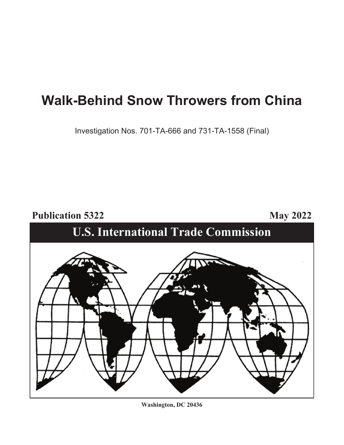# **Walk-Behind Snow Throwers from China**

Investigation Nos. 701-TA-666 and 731-TA-1558 (Final)

**Publication 5322** May 2022



**Washington, DC 20436**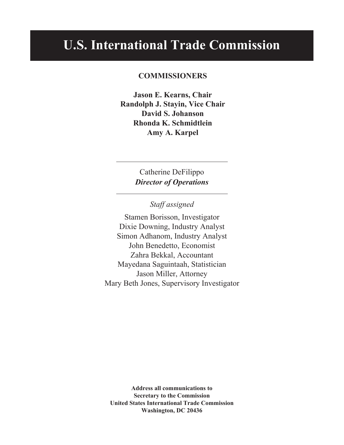## **U.S. International Trade Commission**

#### **COMMISSIONERS**

**Jason E. Kearns, Chair Randolph J. Stayin, Vice Chair David S. Johanson Rhonda K. Schmidtlein Amy A. Karpel** 

> Catherine DeFilippo *Director of Operations*

> > *Staff assigned*

Stamen Borisson, Investigator Dixie Downing, Industry Analyst Simon Adhanom, Industry Analyst John Benedetto, Economist Zahra Bekkal, Accountant Mayedana Saguintaah, Statistician Jason Miller, Attorney Mary Beth Jones, Supervisory Investigator

**Address all communications to Secretary to the Commission United States International Trade Commission Washington, DC 20436**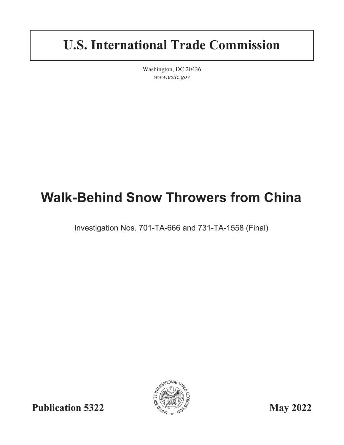# **U.S. International Trade Commission**

Washington, DC 20436 *www.usitc.gov*

# **Walk-Behind Snow Throwers from China**

Investigation Nos. 701-TA-666 and 731-TA-1558 (Final)



**Publication 5322** May 2022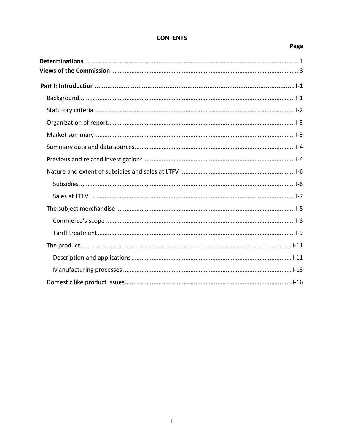### Page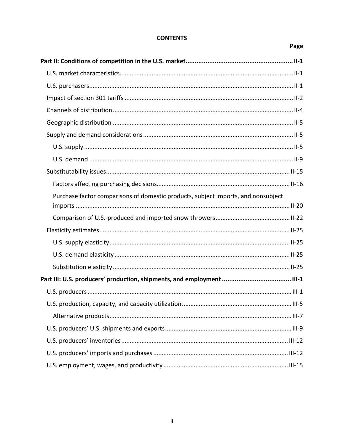### Page

| Purchase factor comparisons of domestic products, subject imports, and nonsubject |  |
|-----------------------------------------------------------------------------------|--|
|                                                                                   |  |
|                                                                                   |  |
|                                                                                   |  |
|                                                                                   |  |
|                                                                                   |  |
|                                                                                   |  |
|                                                                                   |  |
|                                                                                   |  |
|                                                                                   |  |
|                                                                                   |  |
|                                                                                   |  |
|                                                                                   |  |
|                                                                                   |  |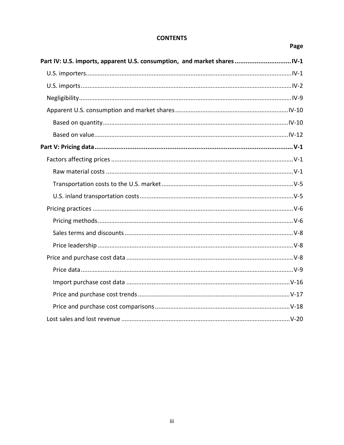Page

### Part IV: U.S. imports, apparent U.S. consumption, and market shares ................................ IV-1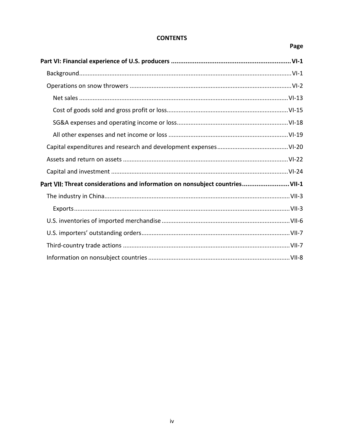### Page

| Part VII: Threat considerations and information on nonsubject countriesVII-1 |  |
|------------------------------------------------------------------------------|--|
|                                                                              |  |
|                                                                              |  |
|                                                                              |  |
|                                                                              |  |
|                                                                              |  |
|                                                                              |  |